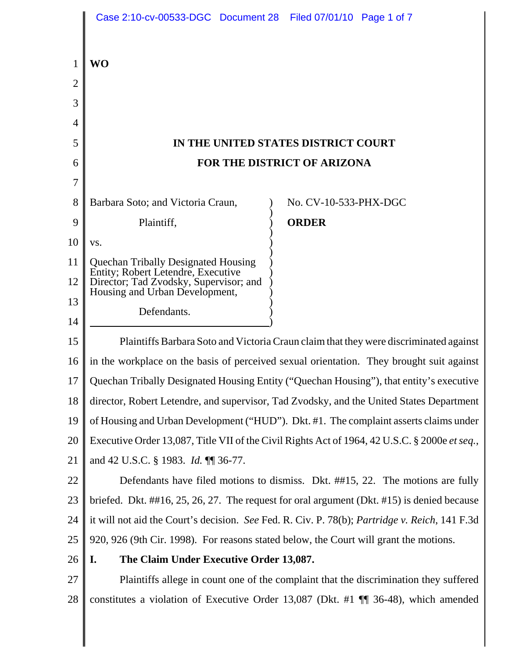|        | Case 2:10-cv-00533-DGC Document 28 Filed 07/01/10 Page 1 of 7                                      |                                                                                       |
|--------|----------------------------------------------------------------------------------------------------|---------------------------------------------------------------------------------------|
| 1      | <b>WO</b>                                                                                          |                                                                                       |
| 2<br>3 |                                                                                                    |                                                                                       |
| 4      |                                                                                                    |                                                                                       |
| 5      |                                                                                                    | IN THE UNITED STATES DISTRICT COURT                                                   |
| 6      | FOR THE DISTRICT OF ARIZONA                                                                        |                                                                                       |
| 7      |                                                                                                    |                                                                                       |
| 8      | Barbara Soto; and Victoria Craun,                                                                  | No. CV-10-533-PHX-DGC                                                                 |
| 9      | Plaintiff,                                                                                         | <b>ORDER</b>                                                                          |
| 10     | VS.                                                                                                |                                                                                       |
| 11     | Quechan Tribally Designated Housing<br>Entity; Robert Letendre, Executive                          |                                                                                       |
| 12     | Director; Tad Zvodsky, Supervisor; and<br>Housing and Urban Development,                           |                                                                                       |
| 13     | Defendants.                                                                                        |                                                                                       |
| 14     |                                                                                                    |                                                                                       |
| 15     | Plaintiffs Barbara Soto and Victoria Craun claim that they were discriminated against              |                                                                                       |
| 16     | in the workplace on the basis of perceived sexual orientation. They brought suit against           |                                                                                       |
| 17     | Quechan Tribally Designated Housing Entity ("Quechan Housing"), that entity's executive            |                                                                                       |
| 18     | director, Robert Letendre, and supervisor, Tad Zvodsky, and the United States Department           |                                                                                       |
| 19     | of Housing and Urban Development ("HUD"). Dkt. #1. The complaint asserts claims under              |                                                                                       |
| 20     | Executive Order 13,087, Title VII of the Civil Rights Act of 1964, 42 U.S.C. § 2000e et seq.,      |                                                                                       |
| 21     | and 42 U.S.C. § 1983. Id. ¶ 36-77.                                                                 |                                                                                       |
| 22     | Defendants have filed motions to dismiss. Dkt. ##15, 22. The motions are fully                     |                                                                                       |
| 23     | briefed. Dkt. $\#416$ , 25, 26, 27. The request for oral argument (Dkt. $\#15$ ) is denied because |                                                                                       |
| 24     | it will not aid the Court's decision. See Fed. R. Civ. P. 78(b); Partridge v. Reich, 141 F.3d      |                                                                                       |
| 25     | 920, 926 (9th Cir. 1998). For reasons stated below, the Court will grant the motions.              |                                                                                       |
| 26     | The Claim Under Executive Order 13,087.<br>I.                                                      |                                                                                       |
| 27     | Plaintiffs allege in count one of the complaint that the discrimination they suffered              |                                                                                       |
| 28     |                                                                                                    | constitutes a violation of Executive Order 13,087 (Dkt. #1 $\P$ 36-48), which amended |
|        |                                                                                                    |                                                                                       |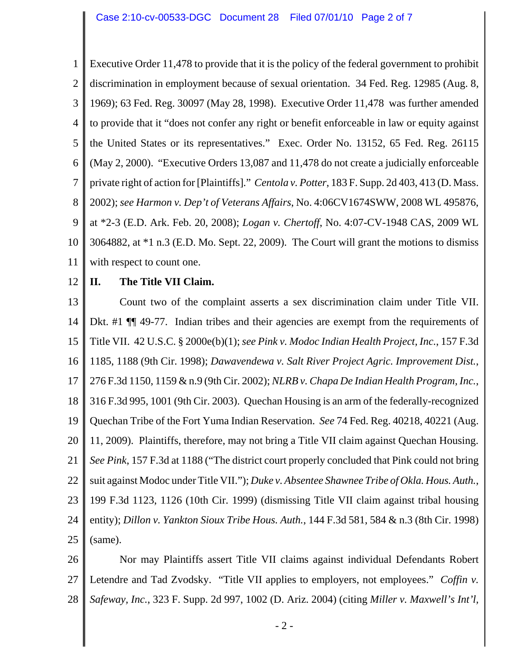1 2 3 4 5 6 7 8 9 10 11 Executive Order 11,478 to provide that it is the policy of the federal government to prohibit discrimination in employment because of sexual orientation. 34 Fed. Reg. 12985 (Aug. 8, 1969); 63 Fed. Reg. 30097 (May 28, 1998). Executive Order 11,478 was further amended to provide that it "does not confer any right or benefit enforceable in law or equity against the United States or its representatives." Exec. Order No. 13152, 65 Fed. Reg. 26115 (May 2, 2000). "Executive Orders 13,087 and 11,478 do not create a judicially enforceable private right of action for [Plaintiffs]." *Centola v. Potter*, 183 F. Supp. 2d 403, 413 (D. Mass. 2002); *see Harmon v. Dep't of Veterans Affairs*, No. 4:06CV1674SWW, 2008 WL 495876, at \*2-3 (E.D. Ark. Feb. 20, 2008); *Logan v. Chertoff*, No. 4:07-CV-1948 CAS, 2009 WL 3064882, at \*1 n.3 (E.D. Mo. Sept. 22, 2009). The Court will grant the motions to dismiss with respect to count one.

12 **II. The Title VII Claim.**

13 14 15 16 17 18 19 20 21 22 23 24 25 Count two of the complaint asserts a sex discrimination claim under Title VII. Dkt. #1  $\P$  49-77. Indian tribes and their agencies are exempt from the requirements of Title VII. 42 U.S.C. § 2000e(b)(1); *see Pink v. Modoc Indian Health Project, Inc.*, 157 F.3d 1185, 1188 (9th Cir. 1998); *Dawavendewa v. Salt River Project Agric. Improvement Dist.*, 276 F.3d 1150, 1159 & n.9 (9th Cir. 2002); *NLRB v. Chapa De Indian Health Program, Inc.*, 316 F.3d 995, 1001 (9th Cir. 2003). Quechan Housing is an arm of the federally-recognized Quechan Tribe of the Fort Yuma Indian Reservation. *See* 74 Fed. Reg. 40218, 40221 (Aug. 11, 2009). Plaintiffs, therefore, may not bring a Title VII claim against Quechan Housing. *See Pink*, 157 F.3d at 1188 ("The district court properly concluded that Pink could not bring suit against Modoc under Title VII."); *Duke v. Absentee Shawnee Tribe of Okla. Hous. Auth.*, 199 F.3d 1123, 1126 (10th Cir. 1999) (dismissing Title VII claim against tribal housing entity); *Dillon v. Yankton Sioux Tribe Hous. Auth.*, 144 F.3d 581, 584 & n.3 (8th Cir. 1998) (same).

26 27 28 Nor may Plaintiffs assert Title VII claims against individual Defendants Robert Letendre and Tad Zvodsky. "Title VII applies to employers, not employees." *Coffin v. Safeway, Inc.*, 323 F. Supp. 2d 997, 1002 (D. Ariz. 2004) (citing *Miller v. Maxwell's Int'l,*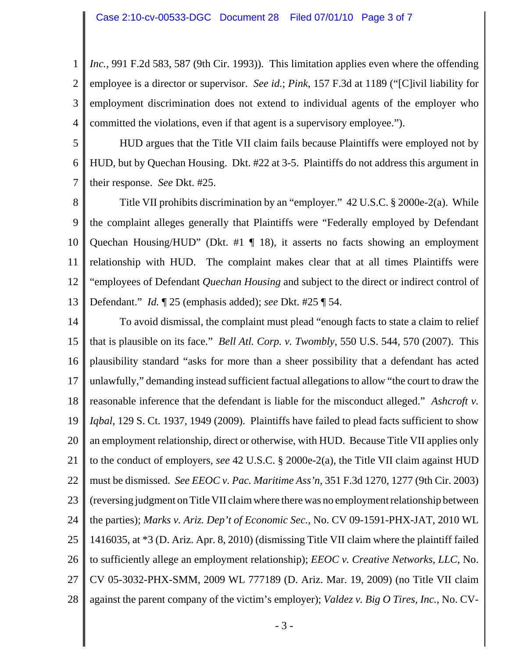1 2 3 4 *Inc.*, 991 F.2d 583, 587 (9th Cir. 1993)). This limitation applies even where the offending employee is a director or supervisor. *See id.*; *Pink*, 157 F.3d at 1189 ("[C]ivil liability for employment discrimination does not extend to individual agents of the employer who committed the violations, even if that agent is a supervisory employee.").

5

6

7

HUD argues that the Title VII claim fails because Plaintiffs were employed not by HUD, but by Quechan Housing. Dkt. #22 at 3-5. Plaintiffs do not address this argument in their response. *See* Dkt. #25.

8 9 10 11 12 13 Title VII prohibits discrimination by an "employer." 42 U.S.C. § 2000e-2(a). While the complaint alleges generally that Plaintiffs were "Federally employed by Defendant Quechan Housing/HUD" (Dkt. #1 ¶ 18), it asserts no facts showing an employment relationship with HUD. The complaint makes clear that at all times Plaintiffs were "employees of Defendant *Quechan Housing* and subject to the direct or indirect control of Defendant." *Id.* ¶ 25 (emphasis added); *see* Dkt. #25 ¶ 54.

14 15 16 17 18 19 20 21 22 23 24 25 26 27 28 To avoid dismissal, the complaint must plead "enough facts to state a claim to relief that is plausible on its face." *Bell Atl. Corp. v. Twombly*, 550 U.S. 544, 570 (2007). This plausibility standard "asks for more than a sheer possibility that a defendant has acted unlawfully," demanding instead sufficient factual allegations to allow "the court to draw the reasonable inference that the defendant is liable for the misconduct alleged." *Ashcroft v. Iqbal*, 129 S. Ct. 1937, 1949 (2009). Plaintiffs have failed to plead facts sufficient to show an employment relationship, direct or otherwise, with HUD. Because Title VII applies only to the conduct of employers, *see* 42 U.S.C. § 2000e-2(a), the Title VII claim against HUD must be dismissed. *See EEOC v. Pac. Maritime Ass'n*, 351 F.3d 1270, 1277 (9th Cir. 2003) (reversing judgment on Title VII claim where there was no employment relationship between the parties); *Marks v. Ariz. Dep't of Economic Sec.*, No. CV 09-1591-PHX-JAT, 2010 WL 1416035, at \*3 (D. Ariz. Apr. 8, 2010) (dismissing Title VII claim where the plaintiff failed to sufficiently allege an employment relationship); *EEOC v. Creative Networks, LLC*, No. CV 05-3032-PHX-SMM, 2009 WL 777189 (D. Ariz. Mar. 19, 2009) (no Title VII claim against the parent company of the victim's employer); *Valdez v. Big O Tires, Inc.*, No. CV-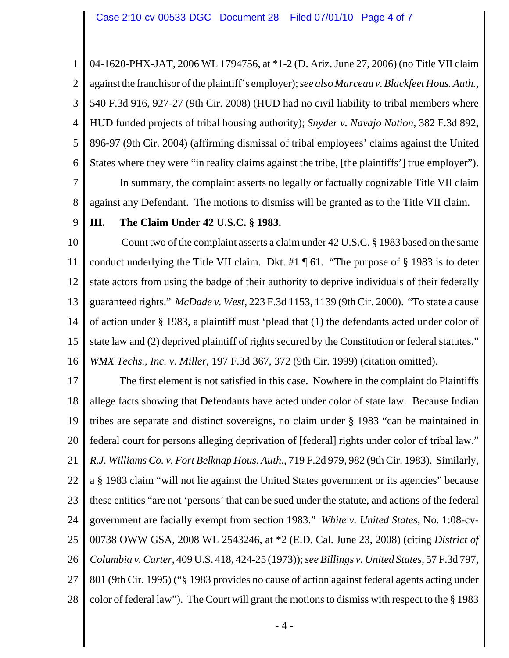1 2 3 4 5 6 7 04-1620-PHX-JAT, 2006 WL 1794756, at \*1-2 (D. Ariz. June 27, 2006) (no Title VII claim against the franchisor of the plaintiff's employer); *see also Marceau v. Blackfeet Hous. Auth.*, 540 F.3d 916, 927-27 (9th Cir. 2008) (HUD had no civil liability to tribal members where HUD funded projects of tribal housing authority); *Snyder v. Navajo Nation*, 382 F.3d 892, 896-97 (9th Cir. 2004) (affirming dismissal of tribal employees' claims against the United States where they were "in reality claims against the tribe, [the plaintiffs'] true employer"). In summary, the complaint asserts no legally or factually cognizable Title VII claim

against any Defendant. The motions to dismiss will be granted as to the Title VII claim.

9

8

## **III. The Claim Under 42 U.S.C. § 1983.**

10 11 12 13 14 15 16 Count two of the complaint asserts a claim under 42 U.S.C. § 1983 based on the same conduct underlying the Title VII claim. Dkt. #1 ¶ 61. "The purpose of § 1983 is to deter state actors from using the badge of their authority to deprive individuals of their federally guaranteed rights." *McDade v. West*, 223 F.3d 1153, 1139 (9th Cir. 2000). "To state a cause of action under § 1983, a plaintiff must 'plead that (1) the defendants acted under color of state law and (2) deprived plaintiff of rights secured by the Constitution or federal statutes." *WMX Techs., Inc. v. Miller*, 197 F.3d 367, 372 (9th Cir. 1999) (citation omitted).

17 18 19 20 21 22 23 24 25 26 27 28 The first element is not satisfied in this case. Nowhere in the complaint do Plaintiffs allege facts showing that Defendants have acted under color of state law. Because Indian tribes are separate and distinct sovereigns, no claim under § 1983 "can be maintained in federal court for persons alleging deprivation of [federal] rights under color of tribal law." *R.J. Williams Co. v. Fort Belknap Hous. Auth.*, 719 F.2d 979, 982 (9th Cir. 1983). Similarly, a § 1983 claim "will not lie against the United States government or its agencies" because these entities "are not 'persons' that can be sued under the statute, and actions of the federal government are facially exempt from section 1983." *White v. United States*, No. 1:08-cv-00738 OWW GSA, 2008 WL 2543246, at \*2 (E.D. Cal. June 23, 2008) (citing *District of Columbia v. Carter*, 409 U.S. 418, 424-25 (1973)); *see Billings v. United States*, 57 F.3d 797, 801 (9th Cir. 1995) ("§ 1983 provides no cause of action against federal agents acting under color of federal law"). The Court will grant the motions to dismiss with respect to the § 1983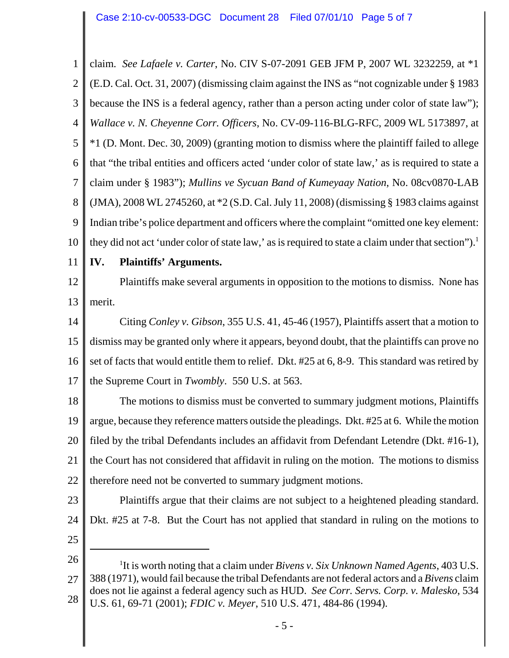1 2 3 4 5 6 7 8 9 10 claim. *See Lafaele v. Carter*, No. CIV S-07-2091 GEB JFM P, 2007 WL 3232259, at \*1 (E.D. Cal. Oct. 31, 2007) (dismissing claim against the INS as "not cognizable under § 1983 because the INS is a federal agency, rather than a person acting under color of state law"); *Wallace v. N. Cheyenne Corr. Officers*, No. CV-09-116-BLG-RFC, 2009 WL 5173897, at \*1 (D. Mont. Dec. 30, 2009) (granting motion to dismiss where the plaintiff failed to allege that "the tribal entities and officers acted 'under color of state law,' as is required to state a claim under § 1983"); *Mullins ve Sycuan Band of Kumeyaay Nation*, No. 08cv0870-LAB (JMA), 2008 WL 2745260, at \*2 (S.D. Cal. July 11, 2008) (dismissing § 1983 claims against Indian tribe's police department and officers where the complaint "omitted one key element: they did not act 'under color of state law,' as is required to state a claim under that section").<sup>1</sup>

11

## **IV. Plaintiffs' Arguments.**

12 13 Plaintiffs make several arguments in opposition to the motions to dismiss. None has merit.

14 15 16 17 Citing *Conley v. Gibson*, 355 U.S. 41, 45-46 (1957), Plaintiffs assert that a motion to dismiss may be granted only where it appears, beyond doubt, that the plaintiffs can prove no set of facts that would entitle them to relief. Dkt. #25 at 6, 8-9. This standard was retired by the Supreme Court in *Twombly*. 550 U.S. at 563.

18 19 20 21 22 The motions to dismiss must be converted to summary judgment motions, Plaintiffs argue, because they reference matters outside the pleadings. Dkt. #25 at 6. While the motion filed by the tribal Defendants includes an affidavit from Defendant Letendre (Dkt. #16-1), the Court has not considered that affidavit in ruling on the motion. The motions to dismiss therefore need not be converted to summary judgment motions.

- 23 24 Plaintiffs argue that their claims are not subject to a heightened pleading standard. Dkt. #25 at 7-8. But the Court has not applied that standard in ruling on the motions to
- 25
- 26 27 28 <sup>1</sup>It is worth noting that a claim under *Bivens v. Six Unknown Named Agents*, 403 U.S. 388 (1971), would fail because the tribal Defendants are not federal actors and a *Bivens* claim does not lie against a federal agency such as HUD. *See Corr. Servs. Corp. v. Malesko*, 534 U.S. 61, 69-71 (2001); *FDIC v. Meyer*, 510 U.S. 471, 484-86 (1994).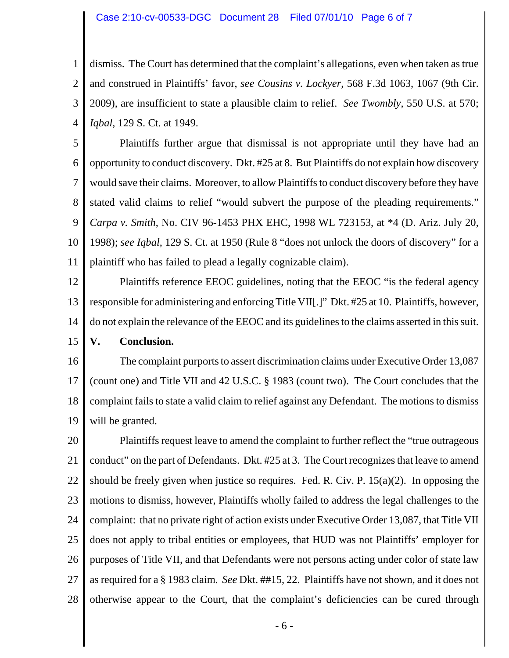## Case 2:10-cv-00533-DGC Document 28 Filed 07/01/10 Page 6 of 7

1 2 3 4 dismiss. The Court has determined that the complaint's allegations, even when taken as true and construed in Plaintiffs' favor, *see Cousins v. Lockyer*, 568 F.3d 1063, 1067 (9th Cir. 2009), are insufficient to state a plausible claim to relief. *See Twombly*, 550 U.S. at 570; *Iqbal*, 129 S. Ct. at 1949.

5 6 7 8 9 10 11 Plaintiffs further argue that dismissal is not appropriate until they have had an opportunity to conduct discovery. Dkt. #25 at 8. But Plaintiffs do not explain how discovery would save their claims. Moreover, to allow Plaintiffs to conduct discovery before they have stated valid claims to relief "would subvert the purpose of the pleading requirements." *Carpa v. Smith*, No. CIV 96-1453 PHX EHC, 1998 WL 723153, at \*4 (D. Ariz. July 20, 1998); *see Iqbal*, 129 S. Ct. at 1950 (Rule 8 "does not unlock the doors of discovery" for a plaintiff who has failed to plead a legally cognizable claim).

12 13 14 15 Plaintiffs reference EEOC guidelines, noting that the EEOC "is the federal agency responsible for administering and enforcing Title VII[.]" Dkt. #25 at 10. Plaintiffs, however, do not explain the relevance of the EEOC and its guidelines to the claims asserted in this suit. **V. Conclusion.**

16 17 18 19 The complaint purports to assert discrimination claims under Executive Order 13,087 (count one) and Title VII and 42 U.S.C. § 1983 (count two). The Court concludes that the complaint fails to state a valid claim to relief against any Defendant. The motions to dismiss will be granted.

20 21 22 23 24 25 26 27 28 Plaintiffs request leave to amend the complaint to further reflect the "true outrageous conduct" on the part of Defendants. Dkt. #25 at 3. The Court recognizes that leave to amend should be freely given when justice so requires. Fed. R. Civ. P. 15(a)(2). In opposing the motions to dismiss, however, Plaintiffs wholly failed to address the legal challenges to the complaint: that no private right of action exists under Executive Order 13,087, that Title VII does not apply to tribal entities or employees, that HUD was not Plaintiffs' employer for purposes of Title VII, and that Defendants were not persons acting under color of state law as required for a § 1983 claim. *See* Dkt. ##15, 22. Plaintiffs have not shown, and it does not otherwise appear to the Court, that the complaint's deficiencies can be cured through

- 6 -